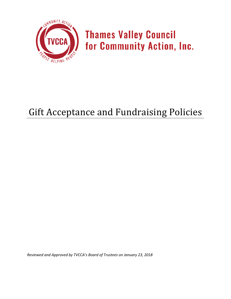

**Thames Valley Council** for Community Action, Inc.

# Gift Acceptance and Fundraising Policies

*Reviewed and Approved by TVCCA's Board of Trustees on January 23, 2018*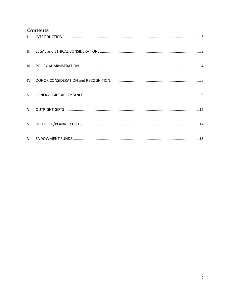# **Contents**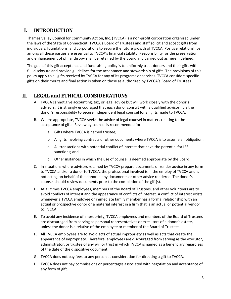# <span id="page-2-0"></span>**I. INTRODUCTION**

Thames Valley Council for Community Action, Inc. (TVCCA) is a non-profit corporation organized under the laws of the State of Connecticut. TVCCA's Board of Trustees and staff solicit and accept gifts from individuals, foundations, and corporations to secure the future growth of TVCCA. Positive relationships among all these parties are essential to TVCCA's financial stability. Responsibility for the preservation and enhancement of philanthropy shall be retained by the Board and carried out as herein defined.

The goal of this gift acceptance and fundraising policy is to uniformly treat donors and their gifts with full disclosure and provide guidelines for the acceptance and stewardship of gifts. The provisions of this policy apply to all gifts received by TVCCA for any of its programs or services. TVCCA considers specific gifts on their merits and final action is taken on those as authorized by TVCCA's Board of Trustees.

## <span id="page-2-1"></span>**II. LEGAL and ETHICAL CONSIDERATIONS**

- A. TVCCA cannot give accounting, tax, or legal advice but will work closely with the donor's advisors. It is strongly encouraged that each donor consult with a qualified advisor. It is the donor's responsibility to secure independent legal counsel for all gifts made to TVCCA.
- B. Where appropriate, TVCCA seeks the advice of legal counsel in matters relating to the acceptance of gifts. Review by counsel is recommended for:
	- a. Gifts where TVCCA is named trustee;
	- b. All gifts involving contracts or other documents where TVCCA is to assume an obligation;
	- c. All transactions with potential conflict of interest that have the potential for IRS sanctions; and
	- d. Other instances in which the use of counsel is deemed appropriate by the Board.
- C. In situations where advisors retained by TVCCA prepare documents or render advice in any form to TVCCA and/or a donor to TVCCA, the professional involved is in the employ of TVCCA and is not acting on behalf of the donor in any documents or other advice rendered. The donor's counsel should review documents prior to the completion of the gift(s).
- D. At all times TVCCA employees, members of the Board of Trustees, and other volunteers are to avoid conflicts of interest and the appearance of conflicts of interest. A conflict of interest exists whenever a TVCCA employee or immediate family member has a formal relationship with an actual or prospective donor or a material interest in a firm that is an actual or potential vendor to TVCCA.
- E. To avoid any incidence of impropriety, TVCCA employees and members of the Board of Trustees are discouraged from serving as personal representatives or executors of a donor's estate, unless the donor is a relative of the employee or member of the Board of Trustees.
- F. All TVCCA employees are to avoid acts of actual impropriety as well as acts that create the appearance of impropriety. Therefore, employees are discouraged from serving as the executor, administrator, or trustee of any will or trust in which TVCCA is named as a beneficiary regardless of the date of the dispositive document.
- G. TVCCA does not pay fees to any person as consideration for directing a gift to TVCCA.
- H. TVCCA does not pay commissions or percentages associated with negotiation and acceptance of any form of gift.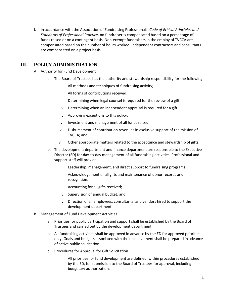I. In accordance with the Association of Fundraising Professionals' *Code of Ethical Principles and Standards of Professional Practice*, no fundraiser is compensated based on a percentage of funds raised or on a contingent basis. Non-exempt fundraisers in the employ of TVCCA are compensated based on the number of hours worked. Independent contractors and consultants are compensated on a project basis.

# <span id="page-3-0"></span>**III. POLICY ADMINISTRATION**

- A. Authority for Fund Development
	- a. The Board of Trustees has the authority and stewardship responsibility for the following:
		- i. All methods and techniques of fundraising activity;
		- ii. All forms of contributions received;
		- iii. Determining when legal counsel is required for the review of a gift;
		- iv. Determining when an independent appraisal is required for a gift;
		- v. Approving exceptions to this policy;
		- vi. Investment and management of all funds raised;
		- vii. Disbursement of contribution revenues in exclusive support of the mission of TVCCA; and
		- viii. Other appropriate matters related to the acceptance and stewardship of gifts.
	- b. The development department and finance department are responsible to the Executive Director (ED) for day-to-day management of all fundraising activities. Professional and support staff will provide:
		- i. Leadership, management, and direct support to fundraising programs;
		- ii. Acknowledgement of all gifts and maintenance of donor records and recognition;
		- iii. Accounting for all gifts received;
		- iv. Supervision of annual budget; and
		- v. Direction of all employees, consultants, and vendors hired to support the development department.
- B. Management of Fund Development Activities
	- a. Priorities for public participation and support shall be established by the Board of Trustees and carried out by the development department.
	- b. All fundraising activities shall be approved in advance by the ED for approved priorities only. Goals and budgets associated with their achievement shall be prepared in advance of active public solicitation.
	- c. Procedures for Approval for Gift Solicitation
		- i. All priorities for fund development are defined, within procedures established by the ED, for submission to the Board of Trustees for approval, including budgetary authorization.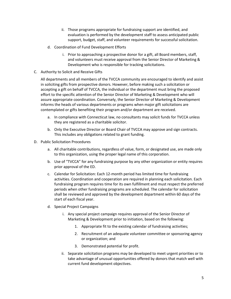- ii. Those programs appropriate for fundraising support are identified, and evaluation is performed by the development staff to assess anticipated public support, budget, staff, and volunteer requirements for successful solicitation.
- d. Coordination of Fund Development Efforts
	- i. Prior to approaching a prospective donor for a gift, all Board members, staff, and volunteers must receive approval from the Senior Director of Marketing & Development who is responsible for tracking solicitations.
- C. Authority to Solicit and Receive Gifts

All departments and all members of the TVCCA community are encouraged to identify and assist in soliciting gifts from prospective donors. However, before making such a solicitation or accepting a gift on behalf of TVCCA, the individual or the department must bring the proposed effort to the specific attention of the Senior Director of Marketing & Development who will assure appropriate coordination. Conversely, the Senior Director of Marketing & Development informs the heads of various departments or programs when major gift solicitations are contemplated or gifts benefiting their program and/or department are received.

- a. In compliance with Connecticut law, no consultants may solicit funds for TVCCA unless they are registered as a charitable solicitor.
- b. Only the Executive Director or Board Chair of TVCCA may approve and sign contracts. This includes any obligations related to grant funding.
- D. Public Solicitation Procedures
	- a. All charitable contributions, regardless of value, form, or designated use, are made only to this organization, using the proper legal name of this corporation.
	- b. Use of "TVCCA" for any fundraising purpose by any other organization or entity requires prior approval of the ED.
	- c. Calendar for Solicitation: Each 12-month period has limited time for fundraising activities. Coordination and cooperation are required in planning each solicitation. Each fundraising program requires time for its own fulfillment and must respect the preferred periods when other fundraising programs are scheduled. The calendar for solicitation shall be reviewed and approved by the development department within 60 days of the start of each fiscal year.
	- d. Special Project Campaigns
		- i. Any special project campaign requires approval of the Senior Director of Marketing & Development prior to initiation, based on the following:
			- 1. Appropriate fit to the existing calendar of fundraising activities;
			- 2. Recruitment of an adequate volunteer committee or sponsoring agency or organization; and
			- 3. Demonstrated potential for profit.
		- ii. Separate solicitation programs may be developed to meet urgent priorities or to take advantage of unusual opportunities offered by donors that match well with current fund development objectives.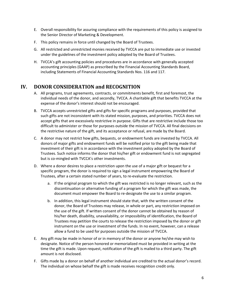- E. Overall responsibility for assuring compliance with the requirements of this policy is assigned to the Senior Director of Marketing & Development.
- F. This policy remains in force until changed by the Board of Trustees.
- G. All restricted and unrestricted monies received by TVCCA are put to immediate use or invested under the guidelines of the investment policy adopted by the Board of Trustees.
- H. TVCCA's gift accounting policies and procedures are in accordance with generally accepted accounting principles (GAAP) as prescribed by the Financial Accounting Standards Board, including Statements of Financial Accounting Standards Nos. 116 and 117.

# <span id="page-5-0"></span>**IV. DONOR CONSIDERATION and RECOGNITION**

- A. All programs, trust agreements, contracts, or commitments benefit, first and foremost, the individual needs of the donor, and secondly, TVCCA. A charitable gift that benefits TVCCA at the expense of the donor's interest should not be encouraged.
- B. TVCCA accepts unrestricted gifts and gifts for specific programs and purposes, provided that such gifts are not inconsistent with its stated mission, purposes, and priorities. TVCCA does not accept gifts that are excessively restrictive in purpose. Gifts that are restrictive include those too difficult to administer or those for purposes outside the mission of TVCCA. All final decisions on the restrictive nature of the gift, and its acceptance or refusal, are made by the Board.
- C. A donor may not restrict how gifts, bequests, or endowment funds are invested by TVCCA. All donors of major gifts and endowment funds will be notified prior to the gift being made that investment of their gift is in accordance with the investment policy adopted by the Board of Trustees. Such notice informs the donor that his/her gift or endowment fund is not segregated but is co-mingled with TVCCA's other investments.
- D. Where a donor desires to place a restriction upon the use of a major gift or bequest for a specific program, the donor is required to sign a legal instrument empowering the Board of Trustees, after a certain stated number of years, to re-evaluate the restriction.
	- a. If the original program to which the gift was restricted is no longer relevant, such as the discontinuation or alternative funding of a program for which the gift was made, the document must empower the Board to re-designate the use to a similar program.
	- b. In addition, this legal instrument should state that, with the written consent of the donor, the Board of Trustees may release, in whole or part, any restriction imposed on the use of the gift. If written consent of the donor cannot be obtained by reason of his/her death, disability, unavailability, or impossibility of identification, the Board of Trustees may petition the courts to release the restriction imposed by the donor or gift instrument on the use or investment of the funds. In no event, however, can a release allow a fund to be used for purposes outside the mission of TVCCA.
- E. Any gift may be made in honor of or in memory of the donor or anyone he/she may wish to designate. Notice of the person honored or memorialized must be provided in writing at the time the gift is made. Upon request, notification of the gift is mailed to a third party. The gift amount is not disclosed.
- F. Gifts made by a donor on behalf of another individual are credited to the actual donor's record. The individual on whose behalf the gift is made receives recognition credit only.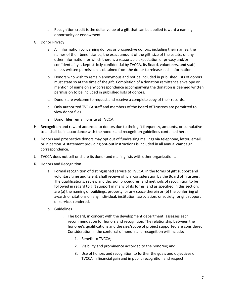- a. Recognition credit is the dollar value of a gift that can be applied toward a naming opportunity or endowment.
- G. Donor Privacy
	- a. All information concerning donors or prospective donors, including their names, the names of their beneficiaries, the exact amount of the gift, size of the estate, or any other information for which there is a reasonable expectation of privacy and/or confidentiality is kept strictly confidential by TVCCA, its Board, volunteers, and staff, unless written permission is obtained from the donor to release such information.
	- b. Donors who wish to remain anonymous and not be included in published lists of donors must state so at the time of the gift. Completion of a donation remittance envelope or mention of name on any correspondence accompanying the donation is deemed written permission to be included in published lists of donors.
	- c. Donors are welcome to request and receive a complete copy of their records.
	- d. Only authorized TVCCA staff and members of the Board of Trustees are permitted to view donor files.
	- e. Donor files remain onsite at TVCCA.
- H. Recognition and reward accorded to donors due to their gift frequency, amounts, or cumulative total shall be in accordance with the honors and recognition guidelines contained herein.
- I. Donors and prospective donors may opt out of fundraising mailings via telephone, letter, email, or in person. A statement providing opt-out instructions is included in all annual campaign correspondence.
- J. TVCCA does not sell or share its donor and mailing lists with other organizations.
- K. Honors and Recognition
	- a. Formal recognition of distinguished service to TVCCA, in the forms of gift support and voluntary time and talent, shall receive official consideration by the Board of Trustees. The qualifications, review and decision procedures, and methods of recognition to be followed in regard to gift support in many of its forms, and as specified in this section, are (a) the naming of buildings, property, or any space therein or (b) the conferring of awards or citations on any individual, institution, association, or society for gift support or services rendered.
	- b. Guidelines
		- i. The Board, in concert with the development department, assesses each recommendation for honors and recognition. The relationship between the honoree's qualifications and the size/scope of project supported are considered. Consideration in the conferral of honors and recognition will include:
			- 1. Benefit to TVCCA;
			- 2. Visibility and prominence accorded to the honoree; and
			- 3. Use of honors and recognition to further the goals and objectives of TVCCA in financial gain and in public recognition and respect.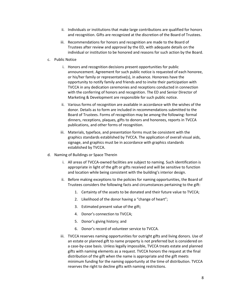- ii. Individuals or institutions that make large contributions are qualified for honors and recognition. Gifts are recognized at the discretion of the Board of Trustees.
- iii. Recommendations for honors and recognition are made to the Board of Trustees after review and approval by the ED, with adequate details on the individual or institution to be honored and reasons for such action by the Board.
- c. Public Notice
	- i. Honors and recognition decisions present opportunities for public announcement. Agreement for such public notice is requested of each honoree, or his/her family or representative(s), in advance. Honorees have the opportunity to notify family and friends and to invite their participation with TVCCA in any dedication ceremonies and receptions conducted in connection with the conferring of honors and recognition. The ED and Senior Director of Marketing & Development are responsible for such public notice.
	- ii. Various forms of recognition are available in accordance with the wishes of the donor. Details as to form are included in recommendations submitted to the Board of Trustees. Forms of recognition may be among the following: formal dinners, receptions, plaques, gifts to donors and honorees, reports in TVCCA publications, and other forms of recognition.
	- iii. Materials, typeface, and presentation forms must be consistent with the graphics standards established by TVCCA. The application of overall visual aids, signage, and graphics must be in accordance with graphics standards established by TVCCA.
- d. Naming of Buildings or Space Therein
	- i. All areas of TVCCA-owned facilities are subject to naming. Such identification is appropriate in light of the gift or gifts received and will be sensitive to function and location while being consistent with the building's interior design.
	- ii. Before making exceptions to the policies for naming opportunities, the Board of Trustees considers the following facts and circumstances pertaining to the gift:
		- 1. Certainty of the assets to be donated and their future value to TVCCA;
		- 2. Likelihood of the donor having a "change of heart";
		- 3. Estimated present value of the gift;
		- 4. Donor's connection to TVCCA;
		- 5. Donor's giving history; and
		- 6. Donor's record of volunteer service to TVCCA.
	- iii. TVCCA reserves naming opportunities for outright gifts and living donors. Use of an estate or planned gift to name property is not preferred but is considered on a case-by-case basis. Unless legally impossible, TVCCA treats estate and planned gifts with naming elements as a request. TVCCA honors the request at the final distribution of the gift when the name is appropriate and the gift meets minimum funding for the naming opportunity at the time of distribution. TVCCA reserves the right to decline gifts with naming restrictions.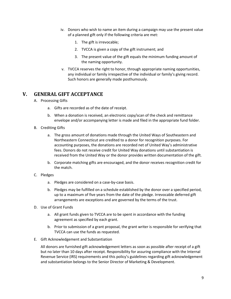- iv. Donors who wish to name an item during a campaign may use the present value of a planned gift only if the following criteria are met:
	- 1. The gift is irrevocable;
	- 2. TVCCA is given a copy of the gift instrument; and
	- 3. The present value of the gift equals the minimum funding amount of the naming opportunity.
- v. TVCCA reserves the right to honor, through appropriate naming opportunities, any individual or family irrespective of the individual or family's giving record. Such honors are generally made posthumously.

#### <span id="page-8-0"></span>**V. GENERAL GIFT ACCEPTANCE**

- A. Processing Gifts
	- a. Gifts are recorded as of the date of receipt.
	- b. When a donation is received, an electronic copy/scan of the check and remittance envelope and/or accompanying letter is made and filed in the appropriate fund folder.
- B. Crediting Gifts
	- a. The gross amount of donations made through the United Ways of Southeastern and Northeastern Connecticut are credited to a donor for recognition purposes. For accounting purposes, the donations are recorded net of United Way's administrative fees. Donors do not receive credit for United Way donations until substantiation is received from the United Way or the donor provides written documentation of the gift.
	- b. Corporate matching gifts are encouraged, and the donor receives recognition credit for the match.
- C. Pledges
	- a. Pledges are considered on a case-by-case basis.
	- b. Pledges may be fulfilled on a schedule established by the donor over a specified period, up to a maximum of five years from the date of the pledge. Irrevocable deferred gift arrangements are exceptions and are governed by the terms of the trust.
- D. Use of Grant Funds
	- a. All grant funds given to TVCCA are to be spent in accordance with the funding agreement as specified by each grant.
	- b. Prior to submission of a grant proposal, the grant writer is responsible for verifying that TVCCA can use the funds as requested.
- E. Gift Acknowledgement and Substantiation

All donors are furnished gift acknowledgement letters as soon as possible after receipt of a gift but no later than 10 days after receipt. Responsibility for assuring compliance with the Internal Revenue Service (IRS) requirements and this policy's guidelines regarding gift acknowledgement and substantiation belongs to the Senior Director of Marketing & Development.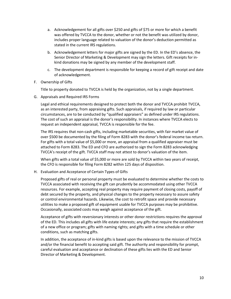- a. Acknowledgement for all gifts over \$250 and gifts of \$75 or more for which a benefit was offered by TVCCA to the donor, whether or not the benefit was utilized by donor, includes proper language related to valuation of the donor's deduction permitted as stated in the current IRS regulations.
- b. Acknowledgement letters for major gifts are signed by the ED. In the ED's absence, the Senior Director of Marketing & Development may sign the letters. Gift receipts for inkind donations may be signed by any member of the development staff.
- c. The development department is responsible for keeping a record of gift receipt and date of acknowledgement.
- F. Ownership of Gifts

Title to property donated to TVCCA is held by the organization, not by a single department.

G. Appraisals and Required IRS Forms

Legal and ethical requirements designed to protect both the donor and TVCCA prohibit TVCCA, as an interested party, from appraising gifts. Such appraisals, if required by law or particular circumstances, are to be conducted by "qualified appraisers" as defined under IRS regulations. The cost of such an appraisal is the donor's responsibility. In instances where TVCCA elects to request an independent appraisal, TVCCA is responsible for the fee.

The IRS requires that non-cash gifts, including marketable securities, with fair market value of over \$500 be documented by the filing of Form 8283 with the donor's federal income tax return. For gifts with a total value of \$5,000 or more, an appraisal from a qualified appraiser must be attached to Form 8283. The ED and CFO are authorized to sign the Form 8283 acknowledging TVCCA's receipt of the gift. TVCCA staff may not attest to donor's valuation of the item.

When gifts with a total value of \$5,000 or more are sold by TVCCA within two years of receipt, the CFO is responsible for filing Form 8282 within 125 days of disposition.

H. Evaluation and Acceptance of Certain Types of Gifts

Proposed gifts of real or personal property must be evaluated to determine whether the costs to TVCCA associated with receiving the gift can prudently be accommodated using other TVCCA resources. For example, accepting real property may require payment of closing costs, payoff of debt secured by the property, and physical changes to the property necessary to assure safety or control environmental hazards. Likewise, the cost to retrofit space and provide necessary utilities to make a proposed gift of equipment usable for TVCCA purposes may be prohibitive. Occasionally, associated costs may weigh against acceptance of the gift.

Acceptance of gifts with reversionary interests or other donor restrictions requires the approval of the ED. This includes all gifts with life estate interests; any gifts that require the establishment of a new office or program; gifts with naming rights; and gifts with a time schedule or other conditions, such as matching gifts.

In addition, the acceptance of in-kind gifts is based upon the relevance to the mission of TVCCA and/or the financial benefit to accepting said gift. The authority and responsibility for prompt, careful evaluation and acceptance or declination of these gifts lies with the ED and Senior Director of Marketing & Development.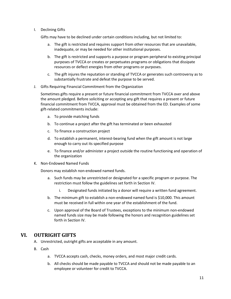I. Declining Gifts

Gifts may have to be declined under certain conditions including, but not limited to:

- a. The gift is restricted and requires support from other resources that are unavailable, inadequate, or may be needed for other institutional purposes.
- b. The gift is restricted and supports a purpose or program peripheral to existing principal purposes of TVCCA or creates or perpetuates programs or obligations that dissipate resources or deflect energies from other programs or purposes.
- c. The gift injures the reputation or standing of TVCCA or generates such controversy as to substantially frustrate and defeat the purpose to be served.
- J. Gifts Requiring Financial Commitment from the Organization

Sometimes gifts require a present or future financial commitment from TVCCA over and above the amount pledged. Before soliciting or accepting any gift that requires a present or future financial commitment from TVCCA, approval must be obtained from the ED. Examples of some gift-related commitments include:

- a. To provide matching funds
- b. To continue a project after the gift has terminated or been exhausted
- c. To finance a construction project
- d. To establish a permanent, interest-bearing fund when the gift amount is not large enough to carry out its specified purpose
- e. To finance and/or administer a project outside the routine functioning and operation of the organization
- K. Non-Endowed Named Funds

Donors may establish non-endowed named funds.

- a. Such funds may be unrestricted or designated for a specific program or purpose. The restriction must follow the guidelines set forth in Section IV.
	- i. Designated funds initiated by a donor will require a written fund agreement.
- b. The minimum gift to establish a non-endowed named fund is \$10,000. This amount must be received in full within one year of the establishment of the fund.
- c. Upon approval of the Board of Trustees, exceptions to the minimum non-endowed named funds size may be made following the honors and recognition guidelines set forth in Section IV.

#### <span id="page-10-0"></span>**VI. OUTRIGHT GIFTS**

- A. Unrestricted, outright gifts are acceptable in any amount.
- B. Cash
	- a. TVCCA accepts cash, checks, money orders, and most major credit cards.
	- b. All checks should be made payable to TVCCA and should not be made payable to an employee or volunteer for credit to TVCCA.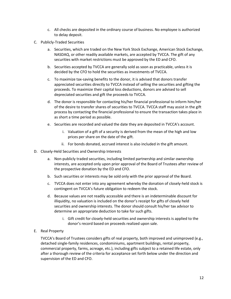- c. All checks are deposited in the ordinary course of business. No employee is authorized to delay deposit.
- C. Publicly-Traded Securities
	- a. Securities, which are traded on the New York Stock Exchange, American Stock Exchange, NASDAQ, or other readily available markets, are accepted by TVCCA. The gift of any securities with market restrictions must be approved by the ED and CFO.
	- b. Securities accepted by TVCCA are generally sold as soon as practicable, unless it is decided by the CFO to hold the securities as investments of TVCCA.
	- c. To maximize tax-saving benefits to the donor, it is advised that donors transfer appreciated securities directly to TVCCA instead of selling the securities and gifting the proceeds. To maximize their capital loss deductions, donors are advised to sell depreciated securities and gift the proceeds to TVCCA.
	- d. The donor is responsible for contacting his/her financial professional to inform him/her of the desire to transfer shares of securities to TVCCA. TVCCA staff may assist in the gift process by contacting the financial professional to ensure the transaction takes place in as short a time period as possible.
	- e. Securities are recorded and valued the date they are deposited in TVCCA's account.
		- i. Valuation of a gift of a security is derived from the mean of the high and low prices per share on the date of the gift.
		- ii. For bonds donated, accrued interest is also included in the gift amount.
- D. Closely-Held Securities and Ownership Interests
	- a. Non-publicly traded securities, including limited partnership and similar ownership interests, are accepted only upon prior approval of the Board of Trustees after review of the prospective donation by the ED and CFO.
	- b. Such securities or interests may be sold only with the prior approval of the Board.
	- c. TVCCA does not enter into any agreement whereby the donation of closely-held stock is contingent on TVCCA's future obligation to redeem the stock.
	- d. Because values are not readily accessible and there is an indeterminable discount for illiquidity, no valuation is included on the donor's receipt for gifts of closely held securities and ownership interests. The donor should consult his/her tax advisor to determine an appropriate deduction to take for such gifts.
		- i. Gift credit for closely-held securities and ownership interests is applied to the donor's record based on proceeds realized upon sale.
- E. Real Property

TVCCA's Board of Trustees considers gifts of real property, both improved and unimproved (e.g., detached single-family residences, condominiums, apartment buildings, rental property, commercial property, farms, acreage, etc.), including gifts subject to a retained life estate, only after a thorough review of the criteria for acceptance set forth below under the direction and supervision of the ED and CFO.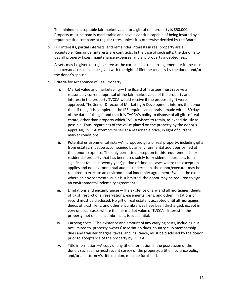- a. The minimum acceptable fair market value for a gift of real property is \$50,000. Property must be readily marketable and have clear title capable of being insured by a reputable title company at regular rates, unless it is otherwise decided by the Board.
- b. Full interests, partial interests, and remainder interests in real property are all acceptable. Remainder interests are contracts. In the case of such gifts, the donor is to pay all property taxes, maintenance expenses, and any property indebtedness.
- c. Assets may be given outright, serve as the corpus of a trust arrangement, or in the case of a personal residence, be given with the right of lifetime tenancy by the donor and/or the donor's spouse.
- d. Criteria for Acceptance of Real Property
	- i. Market value and marketability—The Board of Trustees must receive a reasonably current appraisal of the fair market value of the property and interest in the property TVCCA would receive if the proposed gift were approved. The Senior Director of Marketing & Development informs the donor that, if the gift is completed, the IRS requires an appraisal made within 60 days of the date of the gift and that it is TVCCA's policy to dispose of all gifts of real estate, other than property which TVCCA wishes to retain, as expeditiously as possible. Thus, regardless of the value placed on the property by the donor's appraisal, TVCCA attempts to sell at a reasonable price, in light of current market conditions.
	- ii. Potential environmental risks—All proposed gifts of real property, including gifts from estates, must be accompanied by an environmental audit performed at the donor's expense. The only permitted exception to this requirement is for residential property that has been used solely for residential purposes for a significant (at least twenty-year) period of time. In cases where this exception applies and no environmental audit is undertaken, the donor/executor may be required to execute an environmental indemnity agreement. Even in the case where an environmental audit is submitted, the donor may be required to sign an environmental indemnity agreement.
	- iii. Limitations and encumbrances*—*The existence of any and all mortgages, deeds of trust, restrictions, reservations, easements, liens, and other limitations of record must be disclosed. No gift of real estate is accepted until all mortgages, deeds of trust, liens, and other encumbrances have been discharged, except in very unusual cases where the fair market value of TVCCA's interest in the property, net of all encumbrances, is substantial.
	- iv. Carrying costs*—*The existence and amount of any carrying costs, including but not limited to, property owners' association dues, country club membership dues and transfer charges, taxes, and insurance, must be disclosed by the donor prior to acceptance of the property by TVCCA.
	- v. Title information—A copy of any title information in the possession of the donor, such as the most recent survey of the property, a title insurance policy, and/or an attorney's title opinion, must be furnished.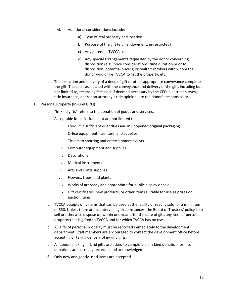- vi. Additional considerations include:
	- a) Type of real property and location
	- b) Purpose of the gift (e.g., endowment, unrestricted)
	- c) Any potential TVCCA use
	- d) Any special arrangements requested by the donor concerning disposition (e.g., price considerations; time duration prior to disposition; potential buyers; or realtors/brokers with whom the donor would like TVCCA to list the property, etc.)
- e. The execution and delivery of a deed of gift or other appropriate conveyance completes the gift. The costs associated with the conveyance and delivery of the gift, including but not limited to, recording fees and, if deemed necessary by the CFO, a current survey, title insurance, and/or an attorney's title opinion, are the donor's responsibility.
- F. Personal Property (In-Kind Gifts)
	- a. "In-kind gifts" refers to the donation of goods and services.
	- b. Acceptable items include, but are not limited to:
		- i. Food, if in sufficient quantities and in unopened original packaging
		- ii. Office equipment, furniture, and supplies
		- iii. Tickets to sporting and entertainment events
		- iv. Computer equipment and supplies
		- v. Decorations
		- vi. Musical instruments
		- vii. Arts and crafts supplies
		- viii. Flowers, trees, and plants
		- ix. Works of art ready and appropriate for public display or sale
		- x. Gift certificates, new products, or other items suitable for use as prizes or auction items
	- c. TVCCA accepts only items that can be used at the facility or readily sold for a minimum of \$50. Unless there are countervailing circumstances, the Board of Trustees' policy is to sell or otherwise dispose of, within one year after the date of gift, any item of personal property that is gifted to TVCCA and for which TVCCA has no use.
	- d. All gifts of personal property must be reported immediately to the development department. Staff members are encouraged to contact the development office before accepting or taking delivery of in-kind gifts.
	- e. All donors making in-kind gifts are asked to complete an in-kind donation form so donations are correctly recorded and acknowledged.
	- f. Only new and gently used items are accepted.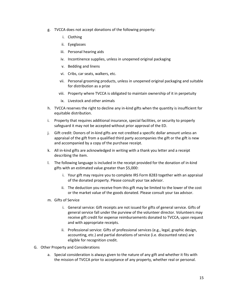- g. TVCCA does not accept donations of the following property:
	- i. Clothing
	- ii. Eyeglasses
	- iii. Personal hearing aids
	- iv. Incontinence supplies, unless in unopened original packaging
	- v. Bedding and linens
	- vi. Cribs, car seats, walkers, etc.
	- vii. Personal grooming products, unless in unopened original packaging and suitable for distribution as a prize
	- viii. Property where TVCCA is obligated to maintain ownership of it in perpetuity
	- ix. Livestock and other animals
- h. TVCCA reserves the right to decline any in-kind gifts when the quantity is insufficient for equitable distribution.
- i. Property that requires additional insurance, special facilities, or security to properly safeguard it may not be accepted without prior approval of the ED.
- j. Gift credit: Donors of in-kind gifts are not credited a specific dollar amount unless an appraisal of the gift from a qualified third party accompanies the gift or the gift is new and accompanied by a copy of the purchase receipt.
- k. All in-kind gifts are acknowledged in writing with a thank you letter and a receipt describing the item.
- l. The following language is included in the receipt provided for the donation of in-kind gifts with an estimated value greater than \$5,000:
	- i. Your gift may require you to complete IRS Form 8283 together with an appraisal of the donated property. Please consult your tax advisor.
	- ii. The deduction you receive from this gift may be limited to the lower of the cost or the market value of the goods donated. Please consult your tax advisor.
- m. Gifts of Service
	- i. General service: Gift receipts are not issued for gifts of general service. Gifts of general service fall under the purview of the volunteer director. Volunteers may receive gift credit for expense reimbursements donated to TVCCA, upon request and with appropriate receipts.
	- ii. Professional service: Gifts of professional services (e.g., legal, graphic design, accounting, etc.) and partial donations of service (i.e. discounted rates) are eligible for recognition credit.
- G. Other Property and Considerations
	- a. Special consideration is always given to the nature of any gift and whether it fits with the mission of TVCCA prior to acceptance of any property, whether real or personal.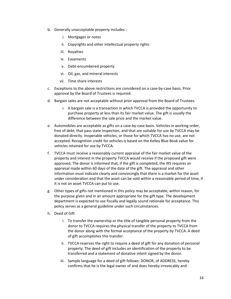- b. Generally unacceptable property includes :
	- i. Mortgages or notes
	- ii. Copyrights and other intellectual property rights
	- iii. Royalties
	- iv. Easements
	- v. Debt-encumbered property
	- vi. Oil, gas, and mineral interests
	- vii. Time share interests
- c. Exceptions to the above restrictions are considered on a case-by-case basis. Prior approval by the Board of Trustees is required.
- d. Bargain sales are not acceptable without prior approval from the Board of Trustees.
	- i. A bargain sale is a transaction in which TVCCA is provided the opportunity to purchase property at less than its fair market value. The gift is usually the difference between the sale price and the market value.
- e. Automobiles are acceptable as gifts on a case-by-case basis. Vehicles in working order, free of debt, that pass state inspection, and that are suitable for use by TVCCA may be donated directly. Inoperable vehicles, or those for which TVCCA has no use, are not accepted. Recognition credit for vehicles is based on the Kelley Blue Book value for vehicles retained for use by TVCCA.
- f. TVCCA must receive a reasonably current appraisal of the fair market value of the property and interest in the property TVCCA would receive if the proposed gift were approved. The donor is informed that, if the gift is completed, the IRS requires an appraisal made within 60 days of the date of the gift. The appraisal and other information must indicate clearly and convincingly that there is a market for the asset under consideration and that the asset can be sold within a reasonable period of time, if it is not an asset TVCCA can put to use.
- g. Other types of gifts not mentioned in this policy may be acceptable, within reason, for the purpose given and in an amount appropriate for the gift type. The development department is expected to use fiscally and legally sound rationale for acceptance. This policy serves as a general guideline under such circumstances.
- h. Deed of Gift
	- i. To transfer the ownership or the title of tangible personal property from the donor to TVCCA requires the physical transfer of the property to TVCCA from the donor along with the formal acceptance of the property by TVCCA. A deed of gift accomplishes this transfer.
	- ii. TVCCA reserves the right to require a deed of gift for any donation of personal property. The deed of gift includes an identification of the property to be transferred and a statement of donative intent signed by the donor.
	- iii. Sample language for a deed of gift follows: DONOR, of ADDRESS, hereby confirms that he is the legal owner of and does hereby irrevocably and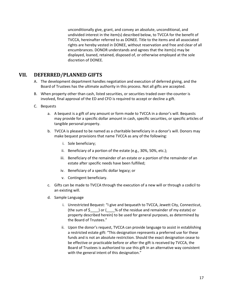unconditionally give, grant, and convey an absolute, unconditional, and undivided interest in the item(s) described below, to TVCCA for the benefit of TVCCA, hereinafter referred to as DONEE. Title to the items and all associated rights are hereby vested in DONEE, without reservation and free and clear of all encumbrances. DONOR understands and agrees that the item(s) may be displayed, loaned, retained, disposed of, or otherwise employed at the sole discretion of DONEE.

#### <span id="page-16-0"></span>**VII. DEFERRED/PLANNED GIFTS**

- A. The development department handles negotiation and execution of deferred giving, and the Board of Trustees has the ultimate authority in this process. Not all gifts are accepted.
- B. When property other than cash, listed securities, or securities traded over-the-counter is involved, final approval of the ED and CFO is required to accept or decline a gift.
- C. Bequests
	- a. A bequest is a gift of any amount or form made to TVCCA in a donor's will. Bequests may provide for a specific dollar amount in cash, specific securities, or specific articles of tangible personal property.
	- b. TVCCA is pleased to be named as a charitable beneficiary in a donor's will. Donors may make bequest provisions that name TVCCA as any of the following:
		- i. Sole beneficiary;
		- ii. Beneficiary of a portion of the estate (e.g., 30%, 50%, etc.);
		- iii. Beneficiary of the remainder of an estate or a portion of the remainder of an estate after specific needs have been fulfilled;
		- iv. Beneficiary of a specific dollar legacy; or
		- v. Contingent beneficiary.
	- c. Gifts can be made to TVCCA through the execution of a new will or through a codicil to an existing will.
	- d. Sample Language
		- i. Unrestricted Bequest: "I give and bequeath to TVCCA, Jewett City, Connecticut, (the sum of  $\sin \theta$  ) or ( $\sin \theta$  % of the residue and remainder of my estate) or property described herein) to be used for general purposes, as determined by the Board of Trustees."
		- ii. Upon the donor's request, TVCCA can provide language to assist in establishing a restricted estate gift: "This designation represents a preferred use for these funds and is not an absolute restriction. Should the exact designation cease to be effective or practicable before or after the gift is received by TVCCA, the Board of Trustees is authorized to use this gift in an alternative way consistent with the general intent of this designation."